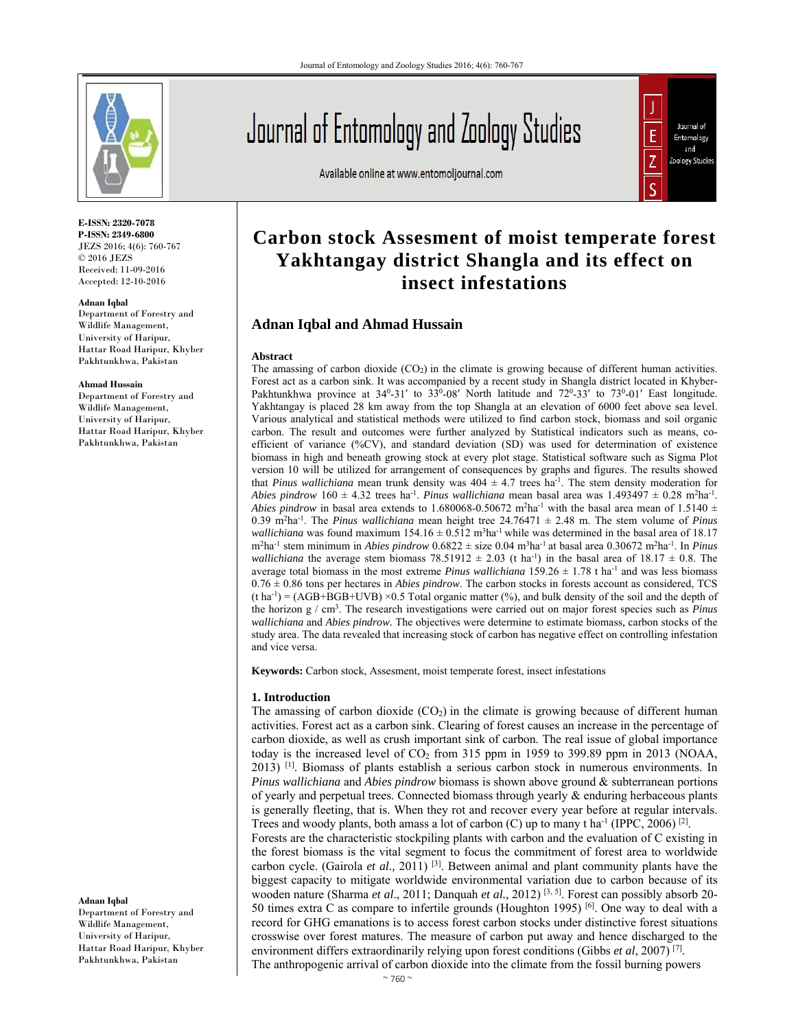

**E-ISSN: 2320-7078 P-ISSN: 2349-6800** JEZS 2016; 4(6): 760-767  $© 2016 JEZS$ Received: 11-09-2016 Accepted: 12-10-2016

#### **Adnan Iqbal**

Department of Forestry and Wildlife Management, University of Haripur, Hattar Road Haripur, Khyber Pakhtunkhwa, Pakistan

#### **Ahmad Hussain**

Department of Forestry and Wildlife Management, University of Haripur, Hattar Road Haripur, Khyber Pakhtunkhwa, Pakistan

#### **Adnan Iqbal**

Department of Forestry and Wildlife Management, University of Haripur, Hattar Road Haripur, Khyber Pakhtunkhwa, Pakistan

# Journal of Entomology and Zoology Studies

Available online at www.entomoljournal.com



# **Carbon stock Assesment of moist temperate forest Yakhtangay district Shangla and its effect on insect infestations**

# **Adnan Iqbal and Ahmad Hussain**

#### **Abstract**

The amassing of carbon dioxide  $(CO<sub>2</sub>)$  in the climate is growing because of different human activities. Forest act as a carbon sink. It was accompanied by a recent study in Shangla district located in Khyber-Pakhtunkhwa province at  $34^0$ -31' to  $33^0$ -08' North latitude and  $72^0$ -33' to  $73^0$ -01' East longitude. Yakhtangay is placed 28 km away from the top Shangla at an elevation of 6000 feet above sea level. Various analytical and statistical methods were utilized to find carbon stock, biomass and soil organic carbon. The result and outcomes were further analyzed by Statistical indicators such as means, coefficient of variance (%CV), and standard deviation (SD) was used for determination of existence biomass in high and beneath growing stock at every plot stage. Statistical software such as Sigma Plot version 10 will be utilized for arrangement of consequences by graphs and figures. The results showed that *Pinus wallichiana* mean trunk density was  $404 \pm 4.7$  trees ha<sup>-1</sup>. The stem density moderation for *Abies pindrow*  $160 \pm 4.32$  trees ha<sup>-1</sup>. *Pinus wallichiana* mean basal area was  $1.493497 \pm 0.28$  m<sup>2</sup>ha<sup>-1</sup>. *Abies pindrow* in basal area extends to 1.680068-0.50672 m<sup>2</sup>ha<sup>-1</sup> with the basal area mean of 1.5140  $\pm$ 0.39 m<sup>2</sup>ha<sup>-1</sup>. The *Pinus wallichiana* mean height tree 24.76471  $\pm$  2.48 m. The stem volume of *Pinus wallichiana* was found maximum  $154.16 \pm 0.512$  m<sup>3</sup>ha<sup>-1</sup> while was determined in the basal area of 18.17 m<sup>2</sup>ha<sup>-1</sup> stem minimum in *Abies pindrow* 0.6822 ± size 0.04 m<sup>3</sup>ha<sup>-1</sup> at basal area 0.30672 m<sup>2</sup>ha<sup>-1</sup>. In *Pinus wallichiana* the average stem biomass 78.51912  $\pm$  2.03 (t ha<sup>-1</sup>) in the basal area of 18.17  $\pm$  0.8. The average total biomass in the most extreme *Pinus wallichiana*  $159.26 \pm 1.78$  t ha<sup>-1</sup> and was less biomass  $0.76 \pm 0.86$  tons per hectares in *Abies pindrow*. The carbon stocks in forests account as considered, TCS  $(t \text{ ha}^{-1}) = (AGB + BGB + UVB) \times 0.5$  Total organic matter (%), and bulk density of the soil and the depth of the horizon g / cm3. The research investigations were carried out on major forest species such as *Pinus wallichiana* and *Abies pindrow.* The objectives were determine to estimate biomass*,* carbon stocks of the study area. The data revealed that increasing stock of carbon has negative effect on controlling infestation and vice versa.

**Keywords:** Carbon stock, Assesment, moist temperate forest, insect infestations

#### **1. Introduction**

The amassing of carbon dioxide  $(CO<sub>2</sub>)$  in the climate is growing because of different human activities. Forest act as a carbon sink. Clearing of forest causes an increase in the percentage of carbon dioxide, as well as crush important sink of carbon. The real issue of global importance today is the increased level of CO2 from 315 ppm in 1959 to 399.89 ppm in 2013 (NOAA, 2013) [1]. Biomass of plants establish a serious carbon stock in numerous environments. In *Pinus wallichiana* and *Abies pindrow* biomass is shown above ground & subterranean portions of yearly and perpetual trees. Connected biomass through yearly & enduring herbaceous plants is generally fleeting, that is. When they rot and recover every year before at regular intervals. Trees and woody plants, both amass a lot of carbon (C) up to many t ha<sup>-1</sup> (IPPC, 2006)<sup>[2]</sup>.

Forests are the characteristic stockpiling plants with carbon and the evaluation of C existing in the forest biomass is the vital segment to focus the commitment of forest area to worldwide carbon cycle. (Gairola *et al.*, 2011) <sup>[3]</sup>. Between animal and plant community plants have the biggest capacity to mitigate worldwide environmental variation due to carbon because of its wooden nature (Sharma *et al*., 2011; Danquah *et al.,* 2012) [3, 5]. Forest can possibly absorb 20- 50 times extra C as compare to infertile grounds (Houghton 1995)<sup>[6]</sup>. One way to deal with a record for GHG emanations is to access forest carbon stocks under distinctive forest situations crosswise over forest matures. The measure of carbon put away and hence discharged to the environment differs extraordinarily relying upon forest conditions (Gibbs *et al*, 2007) [7]. The anthropogenic arrival of carbon dioxide into the climate from the fossil burning powers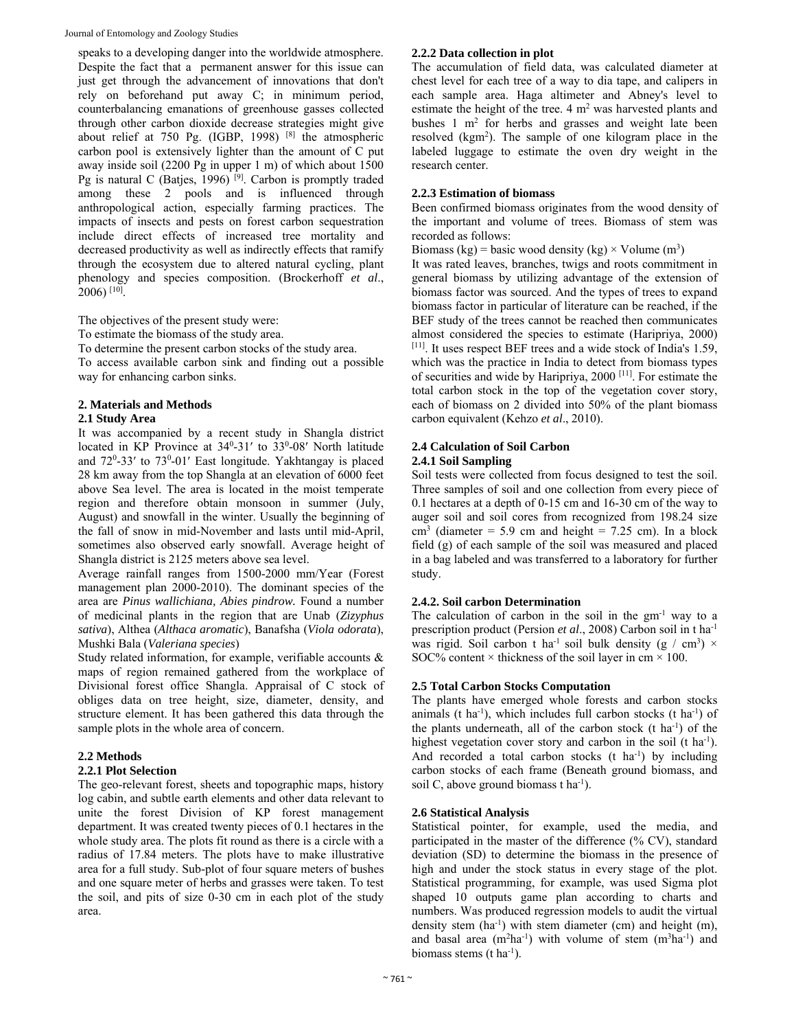Journal of Entomology and Zoology Studies

speaks to a developing danger into the worldwide atmosphere. Despite the fact that a permanent answer for this issue can just get through the advancement of innovations that don't rely on beforehand put away C; in minimum period, counterbalancing emanations of greenhouse gasses collected through other carbon dioxide decrease strategies might give about relief at 750 Pg. (IGBP, 1998) [8] the atmospheric carbon pool is extensively lighter than the amount of C put away inside soil (2200 Pg in upper 1 m) of which about 1500 Pg is natural C (Batjes, 1996)<sup>[9]</sup>. Carbon is promptly traded among these 2 pools and is influenced through anthropological action, especially farming practices. The impacts of insects and pests on forest carbon sequestration include direct effects of increased tree mortality and decreased productivity as well as indirectly effects that ramify through the ecosystem due to altered natural cycling, plant phenology and species composition. (Brockerhoff *et al*., 2006) [10].

The objectives of the present study were:

To estimate the biomass of the study area.

To determine the present carbon stocks of the study area.

To access available carbon sink and finding out a possible way for enhancing carbon sinks.

# **2. Materials and Methods**

# **2.1 Study Area**

It was accompanied by a recent study in Shangla district located in KP Province at 34<sup>0</sup>-31' to 33<sup>0</sup>-08' North latitude and 72<sup>0</sup>-33' to 73<sup>0</sup>-01' East longitude. Yakhtangay is placed 28 km away from the top Shangla at an elevation of 6000 feet above Sea level. The area is located in the moist temperate region and therefore obtain monsoon in summer (July, August) and snowfall in the winter. Usually the beginning of the fall of snow in mid-November and lasts until mid-April, sometimes also observed early snowfall. Average height of Shangla district is 2125 meters above sea level.

Average rainfall ranges from 1500-2000 mm/Year (Forest management plan 2000-2010). The dominant species of the area are *Pinus wallichiana, Abies pindrow.* Found a number of medicinal plants in the region that are Unab (*Zizyphus sativa*), Althea (*Althaca aromatic*), Banafsha (*Viola odorata*), Mushki Bala (*Valeriana species*)

Study related information, for example, verifiable accounts & maps of region remained gathered from the workplace of Divisional forest office Shangla. Appraisal of C stock of obliges data on tree height, size, diameter, density, and structure element. It has been gathered this data through the sample plots in the whole area of concern.

# **2.2 Methods**

# **2.2.1 Plot Selection**

The geo-relevant forest, sheets and topographic maps, history log cabin, and subtle earth elements and other data relevant to unite the forest Division of KP forest management department. It was created twenty pieces of 0.1 hectares in the whole study area. The plots fit round as there is a circle with a radius of 17.84 meters. The plots have to make illustrative area for a full study. Sub-plot of four square meters of bushes and one square meter of herbs and grasses were taken. To test the soil, and pits of size 0-30 cm in each plot of the study area.

# **2.2.2 Data collection in plot**

The accumulation of field data, was calculated diameter at chest level for each tree of a way to dia tape, and calipers in each sample area. Haga altimeter and Abney's level to estimate the height of the tree.  $4 \text{ m}^2$  was harvested plants and bushes 1 m<sup>2</sup> for herbs and grasses and weight late been resolved (kgm2 ). The sample of one kilogram place in the labeled luggage to estimate the oven dry weight in the research center.

# **2.2.3 Estimation of biomass**

Been confirmed biomass originates from the wood density of the important and volume of trees. Biomass of stem was recorded as follows:

Biomass (kg) = basic wood density (kg)  $\times$  Volume (m<sup>3</sup>)

It was rated leaves, branches, twigs and roots commitment in general biomass by utilizing advantage of the extension of biomass factor was sourced. And the types of trees to expand biomass factor in particular of literature can be reached, if the BEF study of the trees cannot be reached then communicates almost considered the species to estimate (Haripriya, 2000) [11]. It uses respect BEF trees and a wide stock of India's 1.59, which was the practice in India to detect from biomass types of securities and wide by Haripriya, 2000 [11]. For estimate the total carbon stock in the top of the vegetation cover story, each of biomass on 2 divided into 50% of the plant biomass carbon equivalent (Kehzo *et al*., 2010).

#### **2.4 Calculation of Soil Carbon 2.4.1 Soil Sampling**

Soil tests were collected from focus designed to test the soil. Three samples of soil and one collection from every piece of 0.1 hectares at a depth of 0-15 cm and 16-30 cm of the way to auger soil and soil cores from recognized from 198.24 size  $\text{cm}^3$  (diameter = 5.9 cm and height = 7.25 cm). In a block field (g) of each sample of the soil was measured and placed in a bag labeled and was transferred to a laboratory for further study.

# **2.4.2. Soil carbon Determination**

The calculation of carbon in the soil in the  $gm^{-1}$  way to a prescription product (Persion *et al*., 2008) Carbon soil in t ha-1 was rigid. Soil carbon t ha<sup>-1</sup> soil bulk density (g / cm<sup>3</sup>)  $\times$ SOC% content  $\times$  thickness of the soil layer in cm  $\times$  100.

# **2.5 Total Carbon Stocks Computation**

The plants have emerged whole forests and carbon stocks animals (t ha<sup>-1</sup>), which includes full carbon stocks (t ha<sup>-1</sup>) of the plants underneath, all of the carbon stock  $(t \text{ ha}^{-1})$  of the highest vegetation cover story and carbon in the soil (t ha<sup>-1</sup>). And recorded a total carbon stocks  $(t \text{ ha}^{-1})$  by including carbon stocks of each frame (Beneath ground biomass, and soil C, above ground biomass t ha<sup>-1</sup>).

# **2.6 Statistical Analysis**

Statistical pointer, for example, used the media, and participated in the master of the difference (% CV), standard deviation (SD) to determine the biomass in the presence of high and under the stock status in every stage of the plot. Statistical programming, for example, was used Sigma plot shaped 10 outputs game plan according to charts and numbers. Was produced regression models to audit the virtual density stem  $(ha^{-1})$  with stem diameter (cm) and height  $(m)$ , and basal area  $(m^2ha^{-1})$  with volume of stem  $(m^3ha^{-1})$  and biomass stems (t  $ha^{-1}$ ).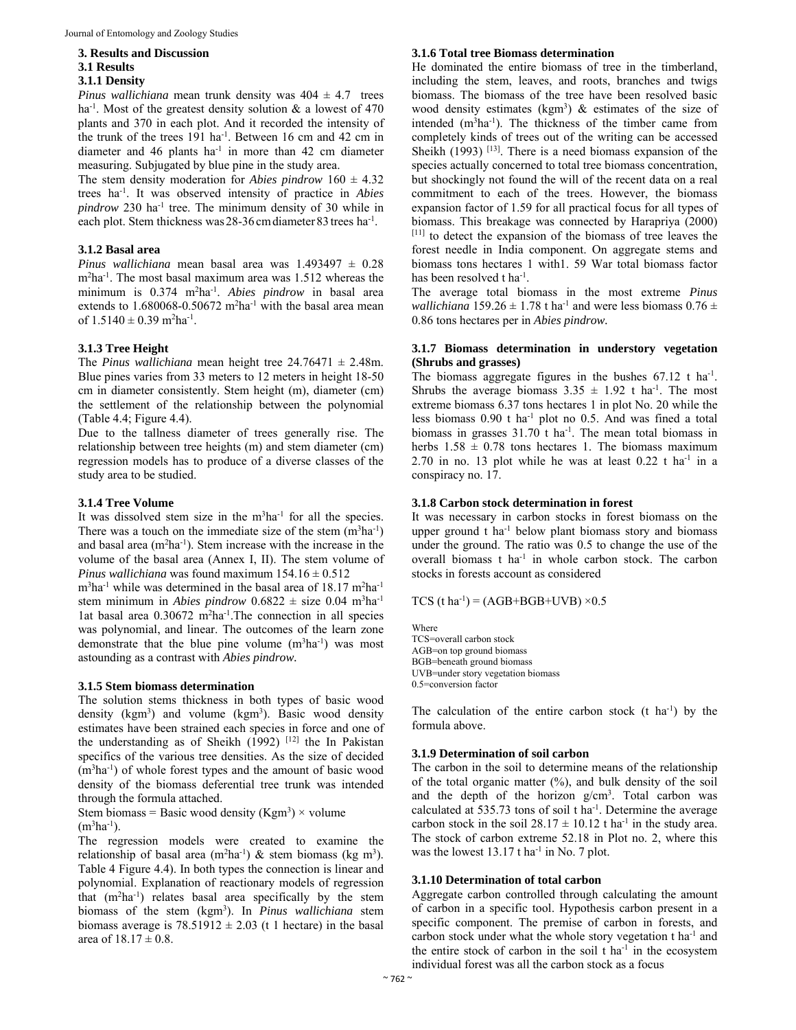#### **3. Results and Discussion**

#### **3.1 Results**

#### **3.1.1 Density**

*Pinus wallichiana* mean trunk density was  $404 \pm 4.7$  trees ha<sup>-1</sup>. Most of the greatest density solution  $\&$  a lowest of 470 plants and 370 in each plot. And it recorded the intensity of the trunk of the trees 191 ha<sup>-1</sup>. Between 16 cm and 42 cm in diameter and 46 plants ha<sup>-1</sup> in more than 42 cm diameter measuring. Subjugated by blue pine in the study area.

The stem density moderation for *Abies pindrow*  $160 \pm 4.32$ trees ha-1. It was observed intensity of practice in *Abies pindrow* 230 ha-1 tree. The minimum density of 30 while in each plot. Stem thickness was 28-36 cm diameter 83 trees ha<sup>-1</sup>.

#### **3.1.2 Basal area**

*Pinus wallichiana* mean basal area was 1.493497 ± 0.28 m<sup>2</sup>ha<sup>-1</sup>. The most basal maximum area was 1.512 whereas the minimum is 0.374 m2 ha-1. *Abies pindrow* in basal area extends to  $1.680068 - 0.50672$  m<sup>2</sup>ha<sup>-1</sup> with the basal area mean of  $1.5140 \pm 0.39$  m<sup>2</sup>ha<sup>-1</sup>.

#### **3.1.3 Tree Height**

The *Pinus wallichiana* mean height tree  $24.76471 \pm 2.48$ m. Blue pines varies from 33 meters to 12 meters in height 18-50 cm in diameter consistently. Stem height (m), diameter (cm) the settlement of the relationship between the polynomial (Table 4.4; Figure 4.4).

Due to the tallness diameter of trees generally rise. The relationship between tree heights (m) and stem diameter (cm) regression models has to produce of a diverse classes of the study area to be studied.

#### **3.1.4 Tree Volume**

It was dissolved stem size in the  $m<sup>3</sup>$ ha<sup>-1</sup> for all the species. There was a touch on the immediate size of the stem  $(m^3ha^{-1})$ and basal area (m<sup>2</sup>ha<sup>-1</sup>). Stem increase with the increase in the volume of the basal area (Annex I, II). The stem volume of *Pinus wallichiana* was found maximum  $154.16 \pm 0.512$ 

m<sup>3</sup>ha<sup>-1</sup> while was determined in the basal area of 18.17 m<sup>2</sup>ha<sup>-1</sup> stem minimum in *Abies pindrow*  $0.6822 \pm$  size  $0.04$  m<sup>3</sup>ha<sup>-1</sup> lat basal area 0.30672 m<sup>2</sup>ha<sup>-1</sup>. The connection in all species was polynomial, and linear. The outcomes of the learn zone demonstrate that the blue pine volume  $(m^3ha^{-1})$  was most astounding as a contrast with *Abies pindrow.*

#### **3.1.5 Stem biomass determination**

The solution stems thickness in both types of basic wood density (kgm<sup>3</sup>) and volume (kgm<sup>3</sup>). Basic wood density estimates have been strained each species in force and one of the understanding as of Sheikh  $(1992)$ <sup>[12]</sup> the In Pakistan specifics of the various tree densities. As the size of decided (m3 ha-1) of whole forest types and the amount of basic wood density of the biomass deferential tree trunk was intended through the formula attached.

Stem biomass = Basic wood density (Kgm<sup>3</sup>) × volume (m<sup>3</sup>ha<sup>-1</sup>).  $(m^3ha^{-1})$ .

The regression models were created to examine the relationship of basal area  $(m^2ha^{-1})$  & stem biomass (kg m<sup>3</sup>). Table 4 Figure 4.4). In both types the connection is linear and polynomial. Explanation of reactionary models of regression that  $(m^2ha^{-1})$  relates basal area specifically by the stem biomass of the stem (kgm3 ). In *Pinus wallichiana* stem biomass average is  $78.51912 \pm 2.03$  (t 1 hectare) in the basal area of  $18.17 \pm 0.8$ .

### **3.1.6 Total tree Biomass determination**

He dominated the entire biomass of tree in the timberland, including the stem, leaves, and roots, branches and twigs biomass. The biomass of the tree have been resolved basic wood density estimates ( $kgm<sup>3</sup>$ ) & estimates of the size of intended  $(m<sup>3</sup>ha<sup>-1</sup>)$ . The thickness of the timber came from completely kinds of trees out of the writing can be accessed Sheikh (1993)  $[13]$ . There is a need biomass expansion of the species actually concerned to total tree biomass concentration, but shockingly not found the will of the recent data on a real commitment to each of the trees. However, the biomass expansion factor of 1.59 for all practical focus for all types of biomass. This breakage was connected by Harapriya (2000) [11] to detect the expansion of the biomass of tree leaves the forest needle in India component. On aggregate stems and biomass tons hectares 1 with1. 59 War total biomass factor has been resolved t ha<sup>-1</sup>.

The average total biomass in the most extreme *Pinus wallichiana*  $159.26 \pm 1.78$  t ha<sup>-1</sup> and were less biomass  $0.76 \pm 1.78$ 0.86 tons hectares per in *Abies pindrow.* 

## **3.1.7 Biomass determination in understory vegetation (Shrubs and grasses)**

The biomass aggregate figures in the bushes  $67.12$  t ha<sup>-1</sup>. Shrubs the average biomass  $3.35 \pm 1.92$  t ha<sup>-1</sup>. The most extreme biomass 6.37 tons hectares 1 in plot No. 20 while the less biomass 0.90 t ha-1 plot no 0.5. And was fined a total biomass in grasses  $31.70$  t ha<sup>-1</sup>. The mean total biomass in herbs  $1.58 \pm 0.78$  tons hectares 1. The biomass maximum 2.70 in no. 13 plot while he was at least  $0.22$  t ha<sup>-1</sup> in a conspiracy no. 17.

#### **3.1.8 Carbon stock determination in forest**

It was necessary in carbon stocks in forest biomass on the upper ground  $t$  ha<sup>-1</sup> below plant biomass story and biomass under the ground. The ratio was 0.5 to change the use of the overall biomass t ha<sup>-1</sup> in whole carbon stock. The carbon stocks in forests account as considered

#### TCS (t ha<sup>-1</sup>) = (AGB+BGB+UVB)  $\times$ 0.5

Where TCS=overall carbon stock AGB=on top ground biomass BGB=beneath ground biomass UVB=under story vegetation biomass 0.5=conversion factor

The calculation of the entire carbon stock  $(t \text{ ha}^{-1})$  by the formula above.

#### **3.1.9 Determination of soil carbon**

The carbon in the soil to determine means of the relationship of the total organic matter  $(\%)$ , and bulk density of the soil and the depth of the horizon  $g/cm<sup>3</sup>$ . Total carbon was calculated at  $535.73$  tons of soil t ha<sup>-1</sup>. Determine the average carbon stock in the soil  $28.17 \pm 10.12$  t ha<sup>-1</sup> in the study area. The stock of carbon extreme 52.18 in Plot no. 2, where this was the lowest 13.17 t ha<sup>-1</sup> in No. 7 plot.

## **3.1.10 Determination of total carbon**

Aggregate carbon controlled through calculating the amount of carbon in a specific tool. Hypothesis carbon present in a specific component. The premise of carbon in forests, and carbon stock under what the whole story vegetation t ha-1 and the entire stock of carbon in the soil  $t$  ha<sup>-1</sup> in the ecosystem individual forest was all the carbon stock as a focus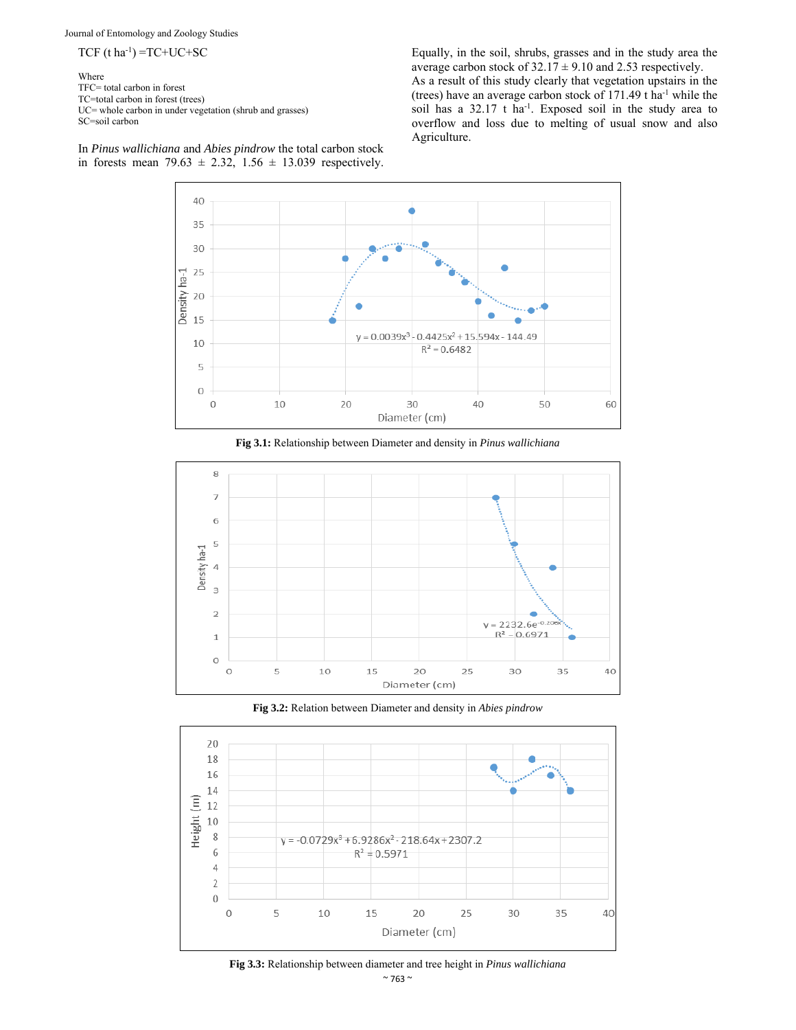Journal of Entomology and Zoology Studies

 $TCF$  (t ha<sup>-1</sup>) = $TC+UC+SC$ 

Where TFC= total carbon in forest TC=total carbon in forest (trees) UC= whole carbon in under vegetation (shrub and grasses) SC=soil carbon

In *Pinus wallichiana* and *Abies pindrow* the total carbon stock in forests mean 79.63  $\pm$  2.32, 1.56  $\pm$  13.039 respectively. Equally, in the soil, shrubs, grasses and in the study area the average carbon stock of  $32.17 \pm 9.10$  and 2.53 respectively. As a result of this study clearly that vegetation upstairs in the (trees) have an average carbon stock of 171.49 t ha-1 while the soil has a 32.17 t ha<sup>-1</sup>. Exposed soil in the study area to overflow and loss due to melting of usual snow and also Agriculture.



**Fig 3.1:** Relationship between Diameter and density in *Pinus wallichiana*







 $~^{\sim}$  763  $~^{\sim}$ **Fig 3.3:** Relationship between diameter and tree height in *Pinus wallichiana*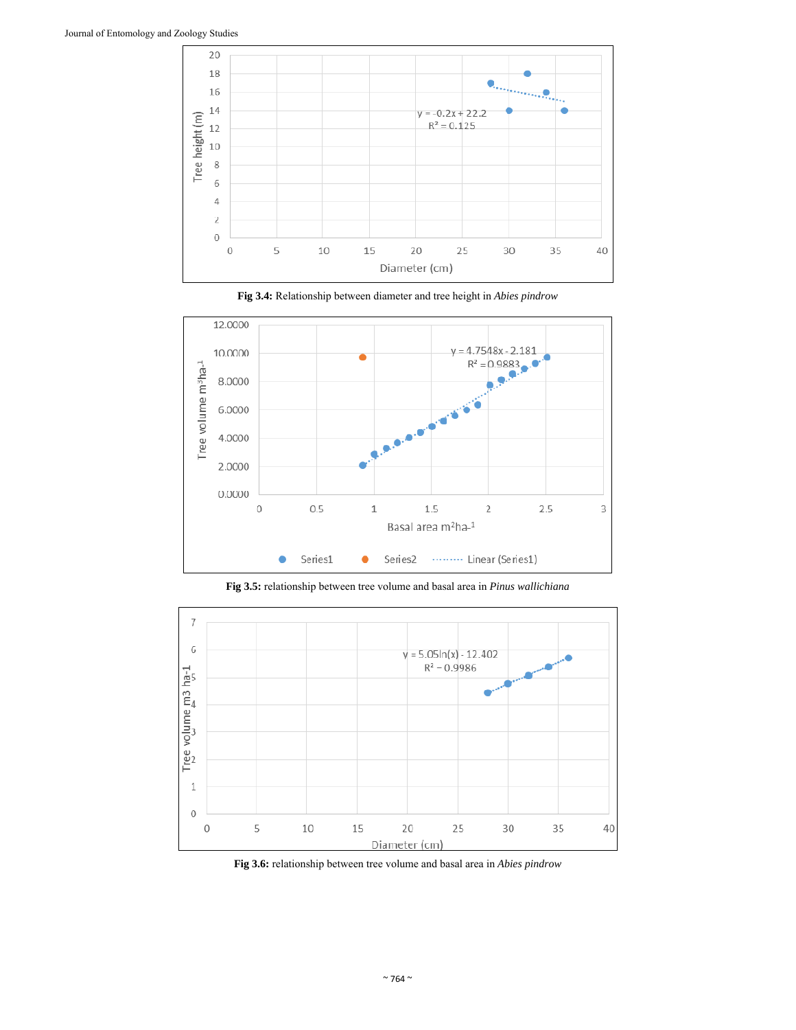









**Fig 3.6:** relationship between tree volume and basal area in *Abies pindrow*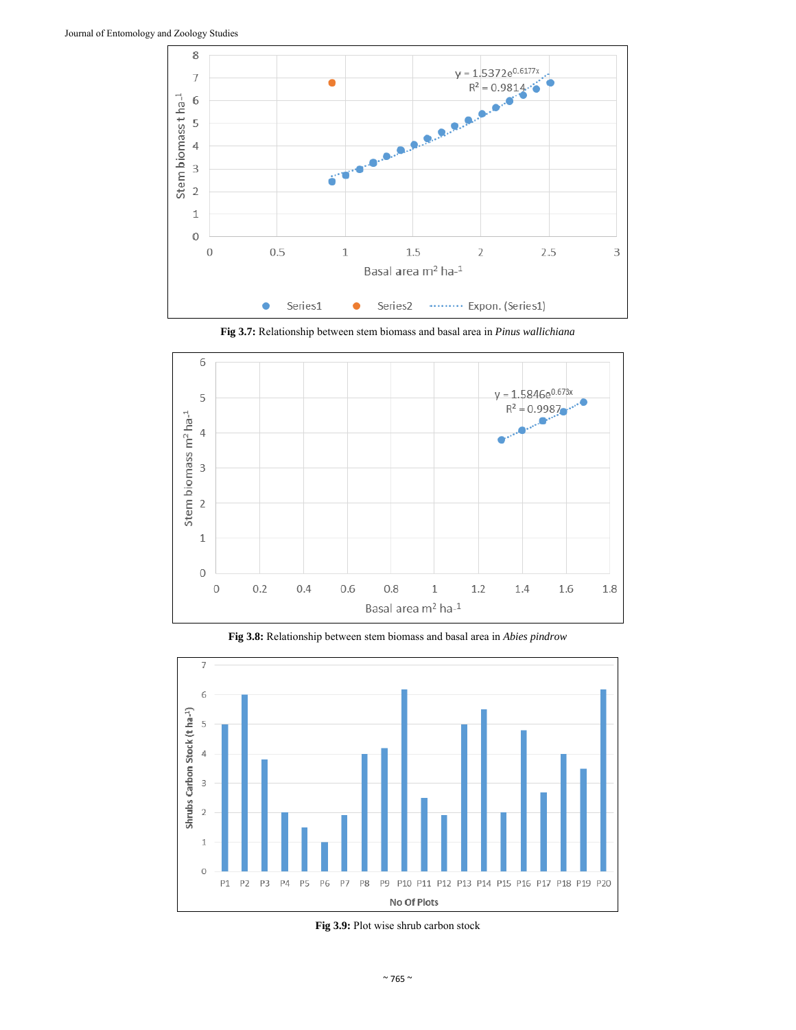

**Fig 3.7:** Relationship between stem biomass and basal area in *Pinus wallichiana*



**Fig 3.8:** Relationship between stem biomass and basal area in *Abies pindrow*



**Fig 3.9:** Plot wise shrub carbon stock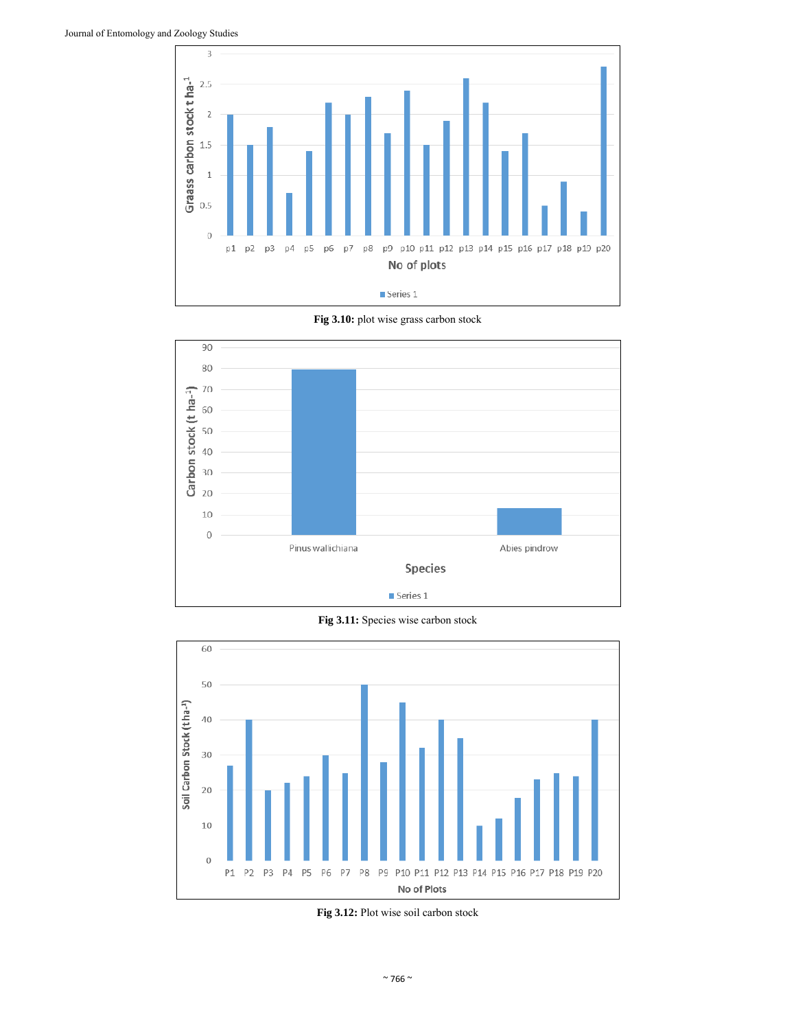

**Fig 3.10:** plot wise grass carbon stock



**Fig 3.11:** Species wise carbon stock



**Fig 3.12:** Plot wise soil carbon stock